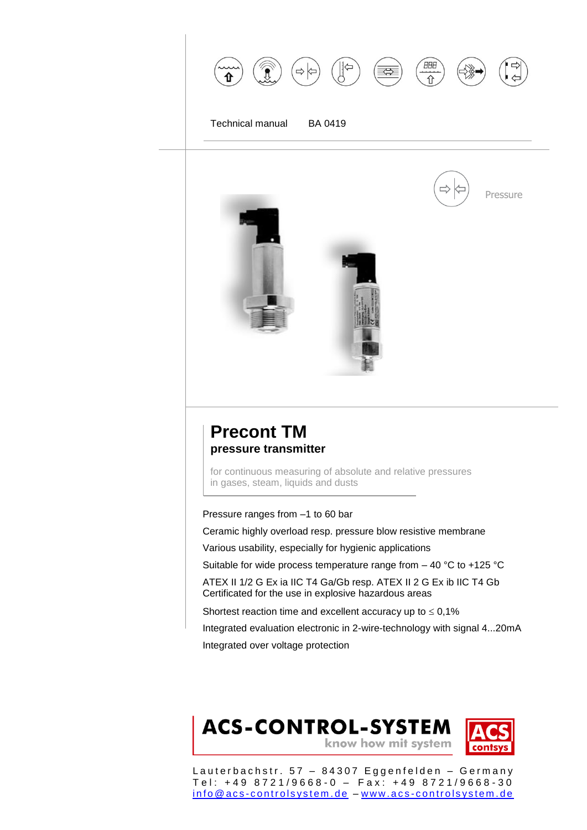



## **Precont TM pressure transmitter**

for continuous measuring of absolute and relative pressures in gases, steam, liquids and dusts

#### Pressure ranges from –1 to 60 bar

Ceramic highly overload resp. pressure blow resistive membrane

Various usability, especially for hygienic applications

Suitable for wide process temperature range from – 40 °C to +125 °C

ATEX II 1/2 G Ex ia IIC T4 Ga/Gb resp. ATEX II 2 G Ex ib IIC T4 Gb Certificated for the use in explosive hazardous areas

Shortest reaction time and excellent accuracy up to  $\leq 0.1\%$ 

Integrated evaluation electronic in 2-wire-technology with signal 4...20mA Integrated over voltage protection

## **ACS-CONTROL-SYSTEM** know how mit system

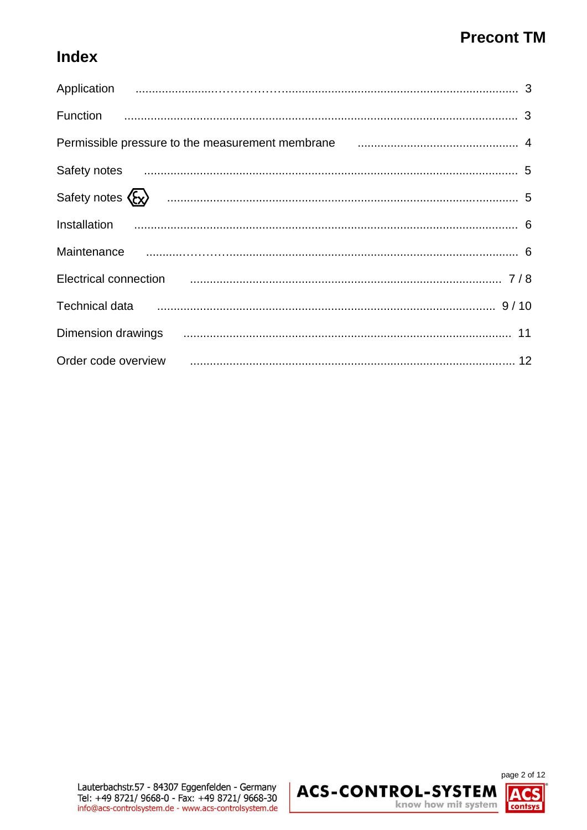# **Index**

| Permissible pressure to the measurement membrane manufacture and the measurement of                                                                                                                                                  |
|--------------------------------------------------------------------------------------------------------------------------------------------------------------------------------------------------------------------------------------|
| Safety notes <b>continuum contract and contract to the set of the set of the Safety notes</b> 5                                                                                                                                      |
|                                                                                                                                                                                                                                      |
|                                                                                                                                                                                                                                      |
|                                                                                                                                                                                                                                      |
| Electrical connection <b>contracts</b> and the connection of the connection of the connection of the connection of the connection of the connection of the connection of the connection of the connection of the connection of the   |
| Technical data <b>continuum contract and the contract of the contract of the set of the Technical data</b> 9/10                                                                                                                      |
| Dimension drawings <b>continuum continuum contract and the contract of the Circuit Contract and the Circuit Control of the Circuit Control of the Circuit Control of the Circuit Control of the Circuit Circuit Control of the C</b> |
| Order code overview <b>contained a manufation of the contract of the code overview</b> 12                                                                                                                                            |

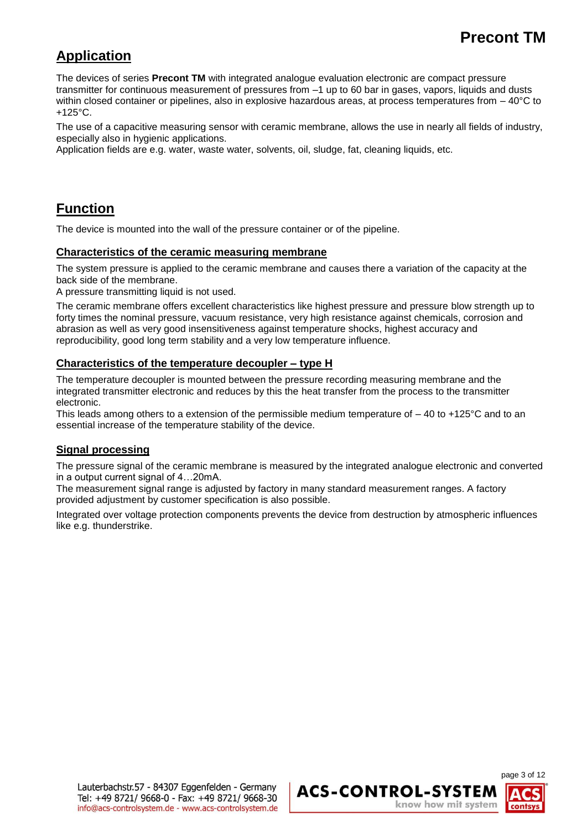## **Application**

The devices of series **Precont TM** with integrated analogue evaluation electronic are compact pressure transmitter for continuous measurement of pressures from –1 up to 60 bar in gases, vapors, liquids and dusts within closed container or pipelines, also in explosive hazardous areas, at process temperatures from  $-40^{\circ}$ C to +125°C.

The use of a capacitive measuring sensor with ceramic membrane, allows the use in nearly all fields of industry, especially also in hygienic applications.

Application fields are e.g. water, waste water, solvents, oil, sludge, fat, cleaning liquids, etc.

### **Function**

The device is mounted into the wall of the pressure container or of the pipeline.

#### **Characteristics of the ceramic measuring membrane**

The system pressure is applied to the ceramic membrane and causes there a variation of the capacity at the back side of the membrane.

A pressure transmitting liquid is not used.

The ceramic membrane offers excellent characteristics like highest pressure and pressure blow strength up to forty times the nominal pressure, vacuum resistance, very high resistance against chemicals, corrosion and abrasion as well as very good insensitiveness against temperature shocks, highest accuracy and reproducibility, good long term stability and a very low temperature influence.

#### **Characteristics of the temperature decoupler – type H**

The temperature decoupler is mounted between the pressure recording measuring membrane and the integrated transmitter electronic and reduces by this the heat transfer from the process to the transmitter electronic.

This leads among others to a extension of the permissible medium temperature of  $-40$  to +125 $\degree$ C and to an essential increase of the temperature stability of the device.

#### **Signal processing**

The pressure signal of the ceramic membrane is measured by the integrated analogue electronic and converted in a output current signal of 4…20mA.

The measurement signal range is adjusted by factory in many standard measurement ranges. A factory provided adjustment by customer specification is also possible.

Integrated over voltage protection components prevents the device from destruction by atmospheric influences like e.g. thunderstrike.

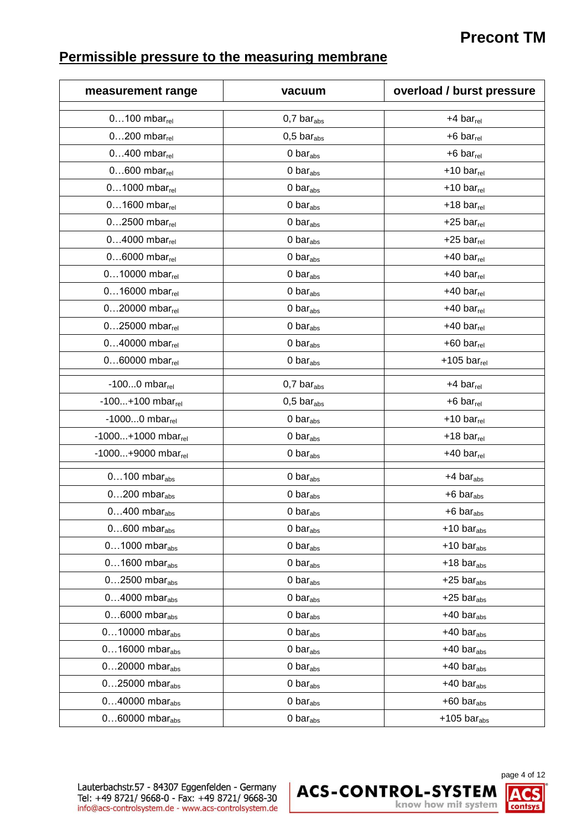# **Permissible pressure to the measuring membrane**

| measurement range              | vacuum                       | overload / burst pressure      |
|--------------------------------|------------------------------|--------------------------------|
| $0100$ mbar $_{rel}$           | $0,7$ bar <sub>abs</sub>     | $+4$ bar <sub>rel</sub>        |
| $0200$ mbar $_{rel}$           | $0,5$ bar <sub>abs</sub>     | $+6$ bar $_{rel}$              |
| $0400$ mbar $_{rel}$           | 0 <sub>bar</sub>             | $+6$ bar $_{rel}$              |
| $0600$ mbar $_{rel}$           | 0 <sub>bar</sub>             | $+10 \text{ bar}_{rel}$        |
| $01000$ mbar $_{rel}$          | 0 <sub>bar</sub>             | $+10 \text{ bar}_{rel}$        |
| $01600$ mbar $_{rel}$          | 0 <sub>bar</sub>             | $+18$ bar $_{rel}$             |
| $02500$ mbar $_{rel}$          | 0 <sub>bar</sub>             | $+25$ bar $_{rel}$             |
| $04000$ mbar $_{rel}$          | 0 <sub>bar</sub>             | $+25$ bar $_{rel}$             |
| $06000$ mbar $_{rel}$          | 0 <sub>bar</sub>             | $+40$ bar $_{rel}$             |
| $010000$ mbar $_{rel}$         | 0 <sub>bar</sub>             | $+40$ bar <sub>rel</sub>       |
| $016000$ mbar $_{rel}$         | 0 <sub>bar</sub>             | $+40$ bar $_{rel}$             |
| $020000$ mbar $_{rel}$         | $0$ bar $_{\rm abs}$         | $+40$ bar $_{rel}$             |
| $025000$ mbar $_{rel}$         | 0 <sub>bar</sub>             | $+40$ bar <sub>rel</sub>       |
| $040000$ mbar $_{rel}$         | 0 <sub>bar</sub>             | $+60$ bar $_{rel}$             |
| $060000$ mbar $_{rel}$         | 0 <sub>bar</sub>             | $+105$ bar $_{rel}$            |
| -100 $0$ mbar $_{rel}$         | $0,7$ bar <sub>abs</sub>     | $+4$ bar $_{rel}$              |
| $-100+100$ mbar <sub>rel</sub> | $0,5$ bar $_{\text{abs}}$    | $+6$ bar <sub>rel</sub>        |
| $-10000$ mbar $_{rel}$         | 0 <sub>bar</sub>             | $+10 \text{ bar}_{rel}$        |
| $-1000+1000$ mbar $_{rel}$     | 0 <sub>bar</sub>             | $+18$ bar <sub>rel</sub>       |
| $-1000+9000$ mbar $_{rel}$     | 0 <sub>bar</sub>             | $+40$ bar $_{rel}$             |
| $0100$ mbar <sub>abs</sub>     | $0 \text{ bar}_{\text{abs}}$ | $+4$ bar <sub>abs</sub>        |
| $0200$ mbar <sub>abs</sub>     | 0 <sub>bar</sub>             | $+6$ bar <sub>abs</sub>        |
| $0400$ mbar <sub>abs</sub>     | 0 <sub>bar</sub>             | $+6$ bar <sub>abs</sub>        |
| $0600$ mbar <sub>abs</sub>     | 0 bar $_{\rm abs}$           | $+10 \text{ bar}_{\text{abs}}$ |
| $01000$ mbar <sub>abs</sub>    | 0 <sub>bar</sub>             | $+10 \text{ bar}_{\text{abs}}$ |
| $01600$ mbar <sub>abs</sub>    | 0 bar $_{\rm abs}$           | $+18$ bar <sub>abs</sub>       |
| $02500$ mbar <sub>abs</sub>    | 0 $bar_{abs}$                | $+25$ bar <sub>abs</sub>       |
| $04000$ mbar <sub>abs</sub>    | $0$ bar $_{\rm abs}$         | $+25$ bar <sub>abs</sub>       |
| $06000$ mbar <sub>abs</sub>    | 0 bar $_{\rm abs}$           | $+40$ bar <sub>abs</sub>       |
| $010000$ mbar <sub>abs</sub>   | 0 <sub>bar</sub>             | $+40$ bar <sub>abs</sub>       |
| $016000$ mbar <sub>abs</sub>   | $0$ bar $_{\rm abs}$         | $+40$ bar <sub>abs</sub>       |
| $020000$ mbar <sub>abs</sub>   | 0 <sub>bar</sub>             | $+40$ bar $_{\rm abs}$         |
| $025000$ mbar <sub>abs</sub>   | 0 bar $_{\rm abs}$           | $+40$ bar <sub>abs</sub>       |
| $040000$ mbar <sub>abs</sub>   | 0 $bar_{abs}$                | $+60$ bar <sub>abs</sub>       |
| $060000$ mbar <sub>abs</sub>   | 0 <sub>bar</sub>             | $+105$ bar <sub>abs</sub>      |



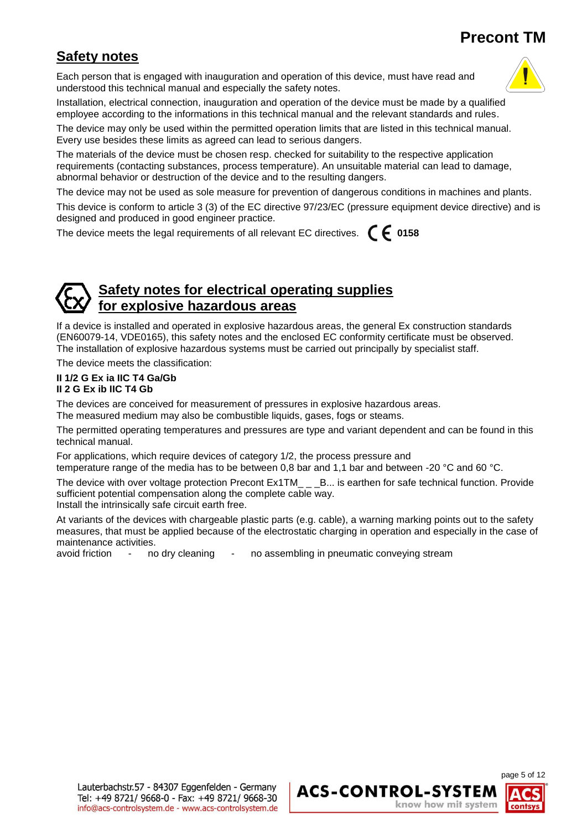## **Safety notes**

Each person that is engaged with inauguration and operation of this device, must have read and understood this technical manual and especially the safety notes.



Installation, electrical connection, inauguration and operation of the device must be made by a qualified employee according to the informations in this technical manual and the relevant standards and rules.

The device may only be used within the permitted operation limits that are listed in this technical manual. Every use besides these limits as agreed can lead to serious dangers.

The materials of the device must be chosen resp. checked for suitability to the respective application requirements (contacting substances, process temperature). An unsuitable material can lead to damage, abnormal behavior or destruction of the device and to the resulting dangers.

The device may not be used as sole measure for prevention of dangerous conditions in machines and plants.

This device is conform to article 3 (3) of the EC directive 97/23/EC (pressure equipment device directive) and is designed and produced in good engineer practice.

The device meets the legal requirements of all relevant EC directives. **0158**

#### **Safety notes for electrical operating supplies for explosive hazardous areas**

If a device is installed and operated in explosive hazardous areas, the general Ex construction standards (EN60079-14, VDE0165), this safety notes and the enclosed EC conformity certificate must be observed. The installation of explosive hazardous systems must be carried out principally by specialist staff.

The device meets the classification:

#### **II 1/2 G Ex ia IIC T4 Ga/Gb II 2 G Ex ib IIC T4 Gb**

The devices are conceived for measurement of pressures in explosive hazardous areas.

The measured medium may also be combustible liquids, gases, fogs or steams.

The permitted operating temperatures and pressures are type and variant dependent and can be found in this technical manual.

For applications, which require devices of category 1/2, the process pressure and temperature range of the media has to be between 0,8 bar and 1,1 bar and between -20 °C and 60 °C.

The device with over voltage protection Precont Ex1TM\_ \_ \_B... is earthen for safe technical function. Provide sufficient potential compensation along the complete cable way.

Install the intrinsically safe circuit earth free.

At variants of the devices with chargeable plastic parts (e.g. cable), a warning marking points out to the safety measures, that must be applied because of the electrostatic charging in operation and especially in the case of maintenance activities.

avoid friction - no dry cleaning - no assembling in pneumatic conveying stream

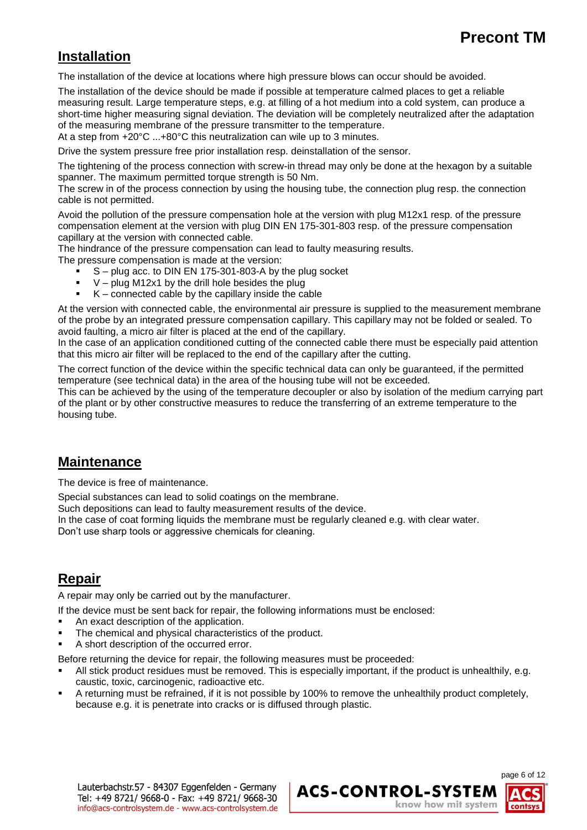### **Installation**

The installation of the device at locations where high pressure blows can occur should be avoided.

The installation of the device should be made if possible at temperature calmed places to get a reliable measuring result. Large temperature steps, e.g. at filling of a hot medium into a cold system, can produce a short-time higher measuring signal deviation. The deviation will be completely neutralized after the adaptation of the measuring membrane of the pressure transmitter to the temperature.

At a step from +20°C ...+80°C this neutralization can wile up to 3 minutes.

Drive the system pressure free prior installation resp. deinstallation of the sensor.

The tightening of the process connection with screw-in thread may only be done at the hexagon by a suitable spanner. The maximum permitted torque strength is 50 Nm.

The screw in of the process connection by using the housing tube, the connection plug resp. the connection cable is not permitted.

Avoid the pollution of the pressure compensation hole at the version with plug M12x1 resp. of the pressure compensation element at the version with plug DIN EN 175-301-803 resp. of the pressure compensation capillary at the version with connected cable.

The hindrance of the pressure compensation can lead to faulty measuring results.

The pressure compensation is made at the version:

- S plug acc. to DIN EN 175-301-803-A by the plug socket
- $V$  plug M12x1 by the drill hole besides the plug
- $K$  connected cable by the capillary inside the cable

At the version with connected cable, the environmental air pressure is supplied to the measurement membrane of the probe by an integrated pressure compensation capillary. This capillary may not be folded or sealed. To avoid faulting, a micro air filter is placed at the end of the capillary.

In the case of an application conditioned cutting of the connected cable there must be especially paid attention that this micro air filter will be replaced to the end of the capillary after the cutting.

The correct function of the device within the specific technical data can only be guaranteed, if the permitted temperature (see technical data) in the area of the housing tube will not be exceeded.

This can be achieved by the using of the temperature decoupler or also by isolation of the medium carrying part of the plant or by other constructive measures to reduce the transferring of an extreme temperature to the housing tube.

#### **Maintenance**

The device is free of maintenance.

Special substances can lead to solid coatings on the membrane.

Such depositions can lead to faulty measurement results of the device.

In the case of coat forming liquids the membrane must be regularly cleaned e.g. with clear water.

Don't use sharp tools or aggressive chemicals for cleaning.

### **Repair**

A repair may only be carried out by the manufacturer.

If the device must be sent back for repair, the following informations must be enclosed:

- An exact description of the application.
- The chemical and physical characteristics of the product.
- A short description of the occurred error.

Before returning the device for repair, the following measures must be proceeded:

- All stick product residues must be removed. This is especially important, if the product is unhealthily, e.g. caustic, toxic, carcinogenic, radioactive etc.
- A returning must be refrained, if it is not possible by 100% to remove the unhealthily product completely, because e.g. it is penetrate into cracks or is diffused through plastic.

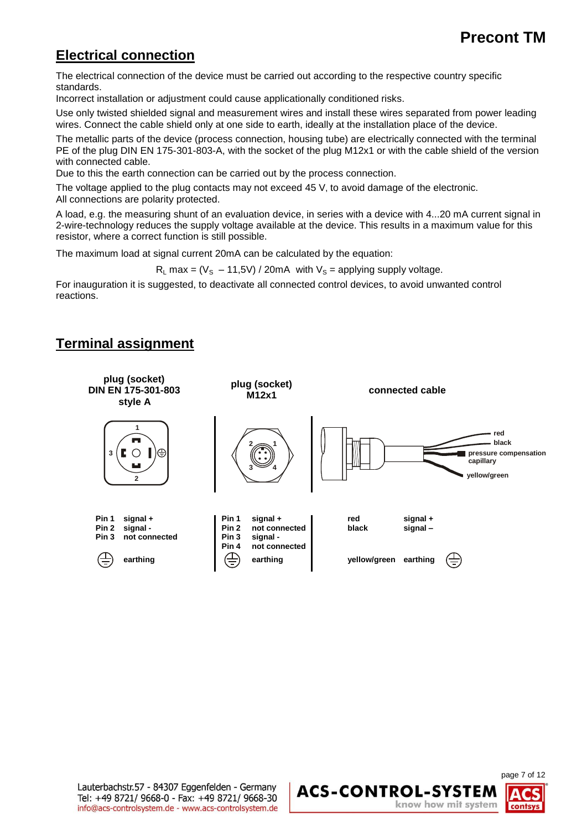### **Electrical connection**

The electrical connection of the device must be carried out according to the respective country specific standards.

Incorrect installation or adjustment could cause applicationally conditioned risks.

Use only twisted shielded signal and measurement wires and install these wires separated from power leading wires. Connect the cable shield only at one side to earth, ideally at the installation place of the device.

The metallic parts of the device (process connection, housing tube) are electrically connected with the terminal PE of the plug DIN EN 175-301-803-A, with the socket of the plug M12x1 or with the cable shield of the version with connected cable.

Due to this the earth connection can be carried out by the process connection.

The voltage applied to the plug contacts may not exceed 45 V, to avoid damage of the electronic. All connections are polarity protected.

A load, e.g. the measuring shunt of an evaluation device, in series with a device with 4...20 mA current signal in 2-wire-technology reduces the supply voltage available at the device. This results in a maximum value for this resistor, where a correct function is still possible.

The maximum load at signal current 20mA can be calculated by the equation:

 $R_L$  max = (V<sub>S</sub> – 11,5V) / 20mA with V<sub>S</sub> = applying supply voltage.

For inauguration it is suggested, to deactivate all connected control devices, to avoid unwanted control reactions.

### **Terminal assignment**



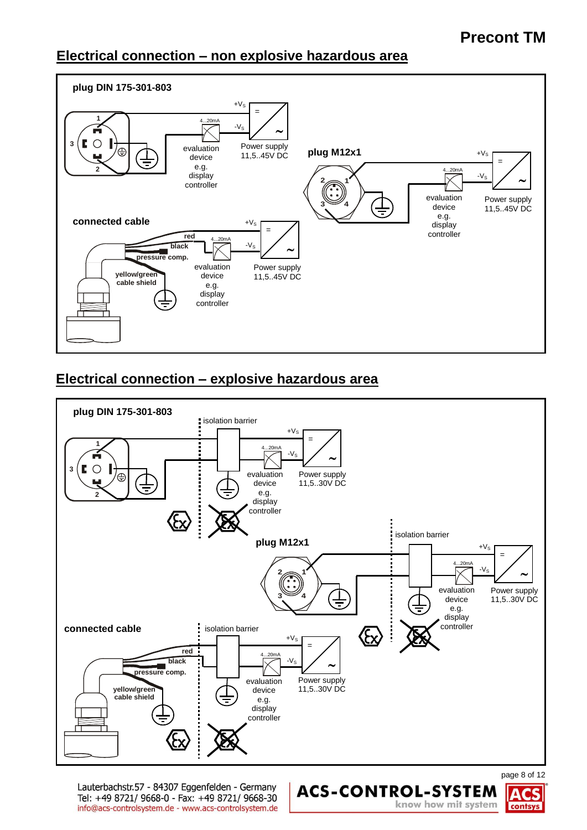### **Electrical connection – non explosive hazardous area**



### **Electrical connection – explosive hazardous area**



Lauterbachstr.57 - 84307 Eggenfelden - Germany Tel: +49 8721/ 9668-0 - Fax: +49 8721/ 9668-30 info@acs-controlsystem.de - www.acs-controlsystem.de page 8 of 12



**ACS-CONTROL-SYSTEM** 

know how mit system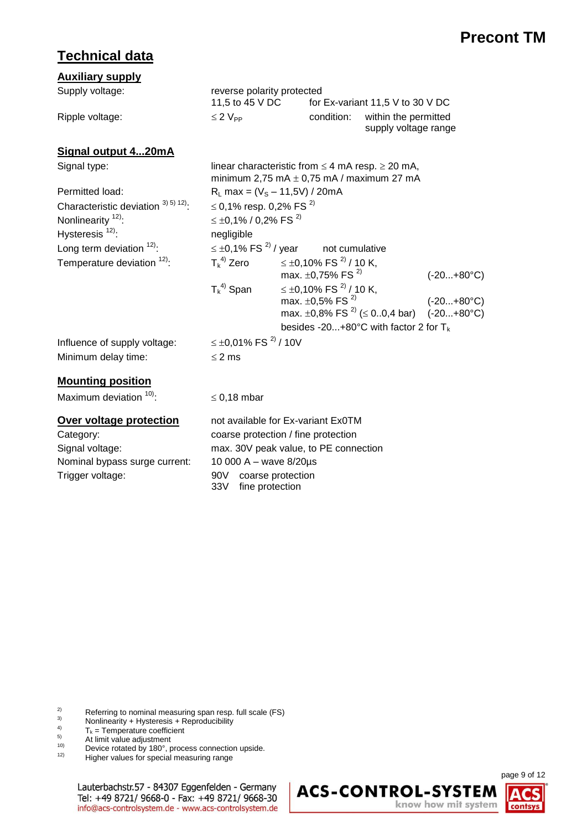## **Technical data**

| <b>Auxiliary supply</b>                             |                                                                                                             |                                          |                                                            |                                                 |                     |
|-----------------------------------------------------|-------------------------------------------------------------------------------------------------------------|------------------------------------------|------------------------------------------------------------|-------------------------------------------------|---------------------|
| Supply voltage:                                     | reverse polarity protected<br>11,5 to 45 V DC                                                               |                                          |                                                            | for Ex-variant 11,5 V to 30 V DC                |                     |
| Ripple voltage:                                     | $\leq 2$ $V_{PP}$                                                                                           |                                          | condition:<br>within the permitted<br>supply voltage range |                                                 |                     |
| Signal output 420mA                                 |                                                                                                             |                                          |                                                            |                                                 |                     |
| Signal type:                                        | linear characteristic from $\leq$ 4 mA resp. $\geq$ 20 mA,<br>minimum 2,75 mA $\pm$ 0,75 mA / maximum 27 mA |                                          |                                                            |                                                 |                     |
| Permitted load:                                     | $R_L$ max = (V <sub>s</sub> – 11,5V) / 20mA                                                                 |                                          |                                                            |                                                 |                     |
| Characteristic deviation $^{3}$ <sup>5) 12</sup> ): | ≤ 0,1% resp. 0,2% FS <sup>2)</sup>                                                                          |                                          |                                                            |                                                 |                     |
| Nonlinearity <sup>12)</sup> :                       | $\leq \pm 0.1\%$ / 0,2% FS <sup>2)</sup>                                                                    |                                          |                                                            |                                                 |                     |
| Hysteresis <sup>12)</sup> :                         | negligible                                                                                                  |                                          |                                                            |                                                 |                     |
| Long term deviation $12$ .                          | $\leq \pm 0.1\%$ FS $^{2)}$ / year<br>not cumulative                                                        |                                          |                                                            |                                                 |                     |
| Temperature deviation <sup>12)</sup> :              | $T_k^{(4)}$ Zero                                                                                            | ≤ ±0,10% FS <sup>2)</sup> / 10 K,        |                                                            |                                                 |                     |
|                                                     |                                                                                                             | max. $\pm$ 0,75% FS <sup>2)</sup>        |                                                            |                                                 | $(-20+80^{\circ}C)$ |
|                                                     | $T_k^{(4)}$ Span                                                                                            | ≤ ±0,10% FS <sup>2)</sup> / 10 K,        |                                                            |                                                 |                     |
|                                                     |                                                                                                             | max. $\pm 0.5\%$ FS <sup>2)</sup>        |                                                            |                                                 | $(-20+80^{\circ}C)$ |
|                                                     |                                                                                                             |                                          |                                                            | max. $\pm 0.8\%$ FS $^{2)}$ ( $\leq 0.0,4$ bar) | $(-20+80^{\circ}C)$ |
|                                                     |                                                                                                             | besides -20+80°C with factor 2 for $T_k$ |                                                            |                                                 |                     |
| Influence of supply voltage:                        | $\leq \pm 0.01\%$ FS $^{2)}$ / 10V                                                                          |                                          |                                                            |                                                 |                     |
| Minimum delay time:                                 | $\leq$ 2 ms                                                                                                 |                                          |                                                            |                                                 |                     |
| <b>Mounting position</b>                            |                                                                                                             |                                          |                                                            |                                                 |                     |
| Maximum deviation 10):                              | $\leq$ 0,18 mbar                                                                                            |                                          |                                                            |                                                 |                     |
| Over voltage protection                             | not available for Ex-variant Ex0TM                                                                          |                                          |                                                            |                                                 |                     |
| Category:                                           | coarse protection / fine protection                                                                         |                                          |                                                            |                                                 |                     |
| Signal voltage:                                     | max. 30V peak value, to PE connection                                                                       |                                          |                                                            |                                                 |                     |
| Nominal bypass surge current:                       | 10 000 A - wave 8/20µs                                                                                      |                                          |                                                            |                                                 |                     |
| Trigger voltage:                                    | 90V<br>coarse protection<br>33V<br>fine protection                                                          |                                          |                                                            |                                                 |                     |

<sup>2)</sup> Referring to nominal measuring span resp. full scale (FS)<br><sup>3)</sup> Nonlinearity + Hysteresis + Reproducibility

- <sup>3)</sup> Nonlinearity + Hysteresis + Reproducibility<br> $\overline{z}$  = Temperature coefficient
- $T_k$  = Temperature coefficient<br>  $T_k$  = Temperature coefficient
- $\overline{5}$  At limit value adjustment
- <sup>10)</sup> Device rotated by 180 $\degree$ , process connection upside.<br>
Higher values for special measuring range
- Higher values for special measuring range

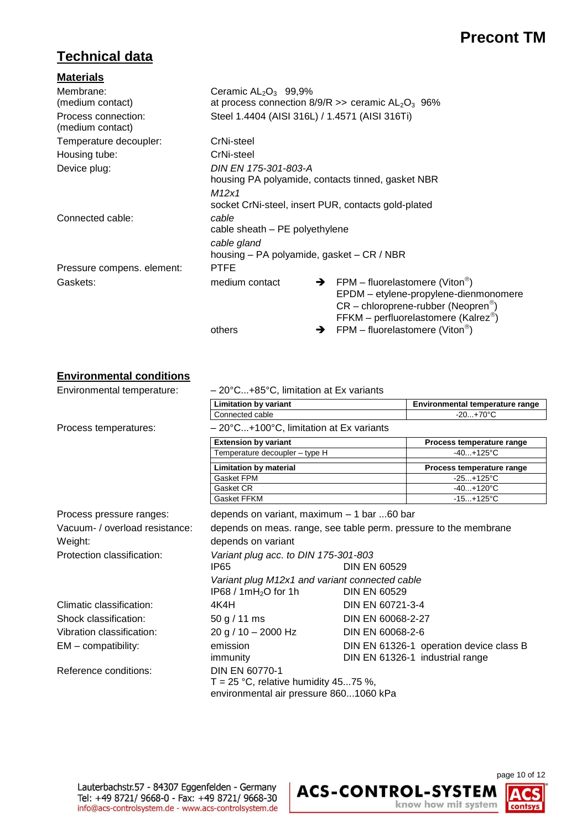### **Technical data**

| <b>Materials</b>                        |                                                        |   |                                                                                                                                                                                                |  |  |
|-----------------------------------------|--------------------------------------------------------|---|------------------------------------------------------------------------------------------------------------------------------------------------------------------------------------------------|--|--|
| Membrane:                               | Ceramic $AL_2O_3$ 99,9%                                |   |                                                                                                                                                                                                |  |  |
| (medium contact)                        | at process connection $8/9/R$ >> ceramic $AL_2O_3$ 96% |   |                                                                                                                                                                                                |  |  |
| Process connection:<br>(medium contact) | Steel 1.4404 (AISI 316L) / 1.4571 (AISI 316Ti)         |   |                                                                                                                                                                                                |  |  |
| Temperature decoupler:                  | CrNi-steel                                             |   |                                                                                                                                                                                                |  |  |
| Housing tube:                           | CrNi-steel                                             |   |                                                                                                                                                                                                |  |  |
| Device plug:                            | DIN EN 175-301-803-A                                   |   |                                                                                                                                                                                                |  |  |
|                                         | housing PA polyamide, contacts tinned, gasket NBR      |   |                                                                                                                                                                                                |  |  |
|                                         | M12x1                                                  |   |                                                                                                                                                                                                |  |  |
|                                         | socket CrNi-steel, insert PUR, contacts gold-plated    |   |                                                                                                                                                                                                |  |  |
| Connected cable:                        | cable                                                  |   |                                                                                                                                                                                                |  |  |
|                                         | cable sheath - PE polyethylene                         |   |                                                                                                                                                                                                |  |  |
|                                         | cable gland                                            |   |                                                                                                                                                                                                |  |  |
|                                         | housing – PA polyamide, gasket – CR / NBR              |   |                                                                                                                                                                                                |  |  |
| Pressure compens. element:              | <b>PTFE</b>                                            |   |                                                                                                                                                                                                |  |  |
| Gaskets:                                | medium contact                                         |   | $\rightarrow$ FPM – fluorelastomere (Viton <sup>®</sup> )<br>EPDM - etylene-propylene-dienmonomere<br>$CR$ – chloroprene-rubber (Neopren <sup>®</sup> )<br>FFKM – perfluorelastomere (Kalrez®) |  |  |
|                                         | others                                                 | → | $FPM$ – fluorelastomere (Viton®)                                                                                                                                                               |  |  |

#### **Environmental conditions**

Environmental temperature:  $-20^{\circ}$ C...+85°C, limitation at Ex variants **Limitation by variant Environmental temperature range** Connected cable  $-20...+70^{\circ}$ C Process temperatures: – 20°C...+100°C, limitation at Ex variants **Extension by variant Process temperature range** Temperature decoupler – type H  $\overline{40...}$ +125°C **Limitation by material Process temperature range** Gasket FPM  $-25...+125^{\circ}C$ Gasket CR 40...+120°C Gasket FFKM -15...+125°C Process pressure ranges: depends on variant, maximum – 1 bar ...60 bar Vacuum- / overload resistance: depends on meas. range, see table perm. pressure to the membrane Weight: Weight: depends on variant Protection classification: *Variant plug acc. to DIN 175-301-803* IP65 DIN EN 60529 *Variant plug M12x1 and variant connected cable* IP68 / 1mH2O for 1h DIN EN 60529 Climatic classification: 4K4H DIN EN 60721-3-4 Shock classification: 50 g / 11 ms DIN EN 60068-2-27 Vibration classification: 20 g / 10 – 2000 Hz DIN EN 60068-2-6 EM – compatibility: emission emission DIN EN 61326-1 operation device class B immunity DIN EN 61326-1 industrial range Reference conditions: DIN EN 60770-1 T = 25 °C, relative humidity 45...75 %, environmental air pressure 860...1060 kPa

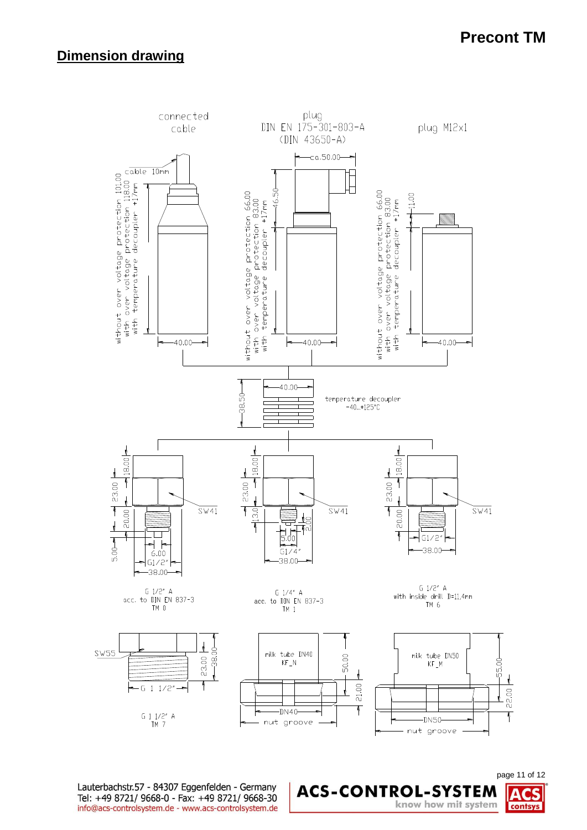### **Dimension drawing**